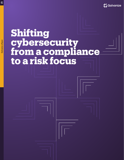

# **Shifting cybersecurity from a compliance to a risk focus**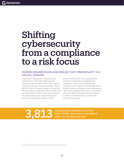## Shifting cybersecurity from a compliance to a risk focus

#### MODERN ORGANIZATIONS NOW REALIZE THAT CYBERSECURITY IS A CRUCIAL CONCERN.

Cyberattacks have grown in frequency and sophistication, with 3,813 data breaches reported in the first half of 2019, which was an increase of 54% over the previous year*1*. And in light of COVID-19-related changes in workforce structure and an unplanned shift to remote work environments that might not be supported with the right infrastructure, companies became even more vulnerable to attack in 2020.

While enterprises know that cybersecurity protection is essential to safeguard their companies, many envision cybersecurity protocols as a compliance-focused approach to address industry and governmental regulations, rather than looking at them from a risk analysis level. This eBook showcases the key reasons to shift to a risk-based focus, and the best practices for doing so.

3,813 data breaches reported in the first<br>54% over the previous year half of 2019, which was an increase of 54% over the previous year

*[<sup>1</sup> https://pages.riskbasedsecurity.com/2019-midyear-data-breach-quickview-report](https://pages.riskbasedsecurity.com/2019-midyear-data-breach-quickview-report)*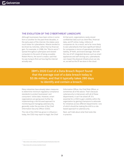#### THE EVOLUTION OF THE CYBERTHREAT LANDSCAPE

Although businesses have been online in some form or another for the past three decades, in the early years of the internet, the stakes were much lower for cyberattacks. Attacks tended to be driven by notoriety, rather than by financial gain. For example, in 1988, the "Morris worm"*<sup>2</sup>* spread throughout cyberspace and slowed computers to the point of being unusable; Robert Morris, the worm's creator, said that he was trying to find out how big the internet actually was.

At that point, organizations rarely stored confidential data such as client files, financial data, and IP online; today, millions of companies do. As a result, we're far more likely to see cyberattacks that have significant fallout for companies in terms of operational problems, liability, IP theft, and brand damage. And with the rise of IoT-integrated devices such as smart appliances and self-driving cars, cyberattacks can impact the physical infrastructure we rely on, as well as the IP we store in the cloud.

IBM's 2020 Cost of a Data Breach Report found that the average cost of a data breach today is \$3.86 million, and that it typically takes 280 days to identify and contain a breach.*<sup>3</sup>*

Many industries have already taken measures to determine minimum regulatory compliance standards to protect businesses' and consumers' online data. However, smart organizations are going even further by implementing a risk-focused approach to monitoring and managing cybersecurity, generally under the purview of the Chief Information Security Officer (CISO).

The role of the CISO has grown in influence today, the CISO may report to legal, the Chief Information Officer, the Chief Risk Officer, or sometimes all of the above. That's because cybersecurity is interwoven with all of these departments; it can't be siloed off. It's essential for a CISO to gain visibility within the organization by gaining champions to advocate for initiatives across different departments—one of which should be making the shift to a riskbased approach to cybersecurity.

Next, we'll talk about what that looks like in practice.

*<sup>2</sup> <https://www.nato.int/docu/review/2013/cyber/timeline/en/index.htm>*

*<sup>3</sup> <https://www.ibm.com/security/data-breach>*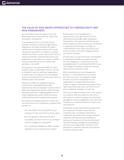#### THE VALUE OF RISK-BASED APPROACHES TO CYBERSECURITY AND RISK MANAGEMENT

So, what does it mean to adopt a more riskbased approach to cybersecurity, rather than focusing on compliance?

In a compliance focus, you'll look at your policies, standards, contractual agreements, regulations, and legal mandates through a specific lens to evaluate whether each meets compliance standards. For instance, consider whether you have a control requirement such as malware protection implemented across your organization. From there, you need to consider to what extent the control is in place: fully, partially, or not at all?

This approach has several benefits: it's easy to follow, easy to understand, and you can use a checklist to see how well your organization is performing. This approach can be adopted across many departments, and it works well in a relatively static environment.

However, it's difficult to update for dynamic environments, including disciplines like cybersecurity. And your approach may be at risk of either over-engineering controls, which can bring excessive costs when mitigating against risk—or under-engineering controls, which can lead to underinvestment and increased risk exposure.

By using a risk analysis approach instead, you can use a formula for building your program that focuses on:

- + Your risk profile: How susceptible is your company to risks, and what are those risks?
- + Your risk appetite: What level of risk is acceptable, and how much are you willing to invest to mitigate it to that point?
- + Your compliance obligations: What industry regulations do you need to put in place?

By focusing on risk management in cybersecurity, you'll gain access to more informed and actionable data, and greater transparency. This approach will provide you with an objective view of where your investment in cybersecurity should go. You'll gain an understanding of your cyber risk factors and levels of impact, and what mitigating actions you need to consider.

At each point, you can look at your risk appetite to understand whether you want to accept the risk, mitigate it, or reduce the risk to an acceptable level. To understand the ROI of your risk mitigation initiatives, divide the financial return by the investment made.

When developing your risk management process, it's also important to accurately prioritize your risks—be pragmatic, based on what you know is achievable for your organization in a reasonable time frame. Conduct triage to understand the most costly or high-impact potential risks, and then focus on those mitigation strategies as a priority.

Once you've determined all of your risks, review your options. Will you accept the risk, which will lower the cost but increase the associated damage? Or will you mitigate the risk, which will increase your investment level but reduce your risk exposure?

Collaborate across departments to determine your response. Consider various factors, including costs, complexity, timescale to implement, disruption from change, business obstacles, training, end-user experience, testing, and assurance. By documenting each risk and building a strategy for responding to each one, your organization will be far more prepared for potential cybersecurity breaches and other business risks.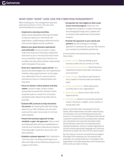### WHAT DOES "GOOD" LOOK LIKE FOR CYBER RISK MANAGEMENT?

When building your risk management approach, keep best practices in mind. Here are some recommendations to consider:

+ Implement a steering committee.

Build a cross-disciplinary steering committee to help you report your risks across the organization, collaborating to determine which ones are the highest priority to address.

- Balance your goals between aspirational and achievable. As you put plans in place, make sure that you're focusing on objectives that aren't so pie-in-the-sky that they'll never be accomplished. A good rule of thumb is to consider only plans that could be implemented within the space of two years.
- Grant your organization a grace period. New policies and technologies can't be implemented instantly; keep a grace period in mind to give your organization time to research options and ensure a focus on implementation and education.
- Focus on mission-critical systems and data assets. Conduct triage, using an impact assessment to assess the criticality of each impacted system or asset from a business standpoint when determining what risks to prioritize.
- $+$  Evaluate GRC products to help streamline the proces. By choosing the right technology stack for your GRC initiatives, you can semiautomate the cyber risk process to minimize staff utilization.
- + Present the business argument to help establish a cyber risk approach. Share a clear and dedicated plan with your stakeholders to improve your business's cybersecurity posture, including target investment, quick wins, and best practices.
- Establish a phased approach. Don't attempt to "boil the ocean" by doing everything at once. Start with high-priority initiatives and grow your program from there.
- Extrapolate the risk insights to other areas of your security program. Once your risk management program is in place, showcase the messaging through policy updates and a company-wide awareness and education program.
- + Promote the approach to your clients and partners. By showcasing your strategic approach to cybersecurity, you can help improve your company's competitive positioning.

In the business risk assessment process, take these steps:

- 1. Create a profile: Start by setting up your business profile with an inventory of risks.
- 2. Determine business impact: What financial or reputational impact would each risk have on your business?
- 3. Assess threats: How likely is each threat to occur, based on historical data and industry data?
- 4. Assess vulnerabilities: What weak points currently exist in your organization?
- 5. Determine risk: Assess which risks are the highest priority.
- 6. Treat the risk: Based on the cost and potential impact, should you mitigate, avoid, transfer, or accept each risk?

Keep in mind that cyber risk shouldn't be silobased. Other departments will often need training and education around addressing cybersecurity concerns. For example, your HR department should implement policies around avoiding insider attacks, your awareness and corporate education team should develop a seminar on preventing social engineering attacks, and your supplier agreements should include appropriate language and minimum standards to lessen the risk of a third-party breach.

By ensuring you've built a comprehensive program that aligns with cybersecurity risk analysis best practices, you can generate buy-in throughout the organization and raise awareness of the importance of the work your team is doing.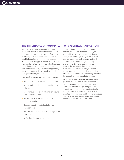#### THE IMPORTANCE OF AUTOMATION FOR CYBER RISK MANAGEMENT

A robust cyber risk management process relies on automation and data analytics tools to ensure that your team is aware of the status of existing risks at all times, and that you'll be able to implement mitigation strategies immediately if a trigger action takes place. Your risk monitoring technology stack should include the ability to set your risk appetite for each risk, monitor the risks, view risks in aggregate, and report on the risk level for clear visibility throughout the organization.

Your solution should have these key features:

- + Be underpinned by industry best practices
- + Utilize real-time data feeds to analyze new threats
- + Anonymously share key information around incidents and threats
- + Be intuitive to users without specialized industry training
- + Provide industry-related data for risk assessments
- + Provide investment versus impact figures for tracking ROI
- + Offer flexible reporting options

Your solution should connect to disparate data sources for real-time threat analysis and vulnerability tracking. It should also integrate with your risk and regulatory frameworks so you can easily track risk appetite and verify compliance. By automating monitoring for changing risk levels or regulations, you can remove the operational burden of manual oversight. Your cyber risk analysts should receive automated alerts in situations where further action is necessary, reserving their time for issues that require strategic analysis.

By moving to an automated risk assessment platform, you'll be able to streamline your cyber risk management strategy, and have clear visibility at all times into your highest risks and any outside factors that may create potential vulnerabilities. That will enable your team to prioritize mitigating risks and fixing vulnerabilities quickly, rather than waiting months to discover breaches that have already occurred.